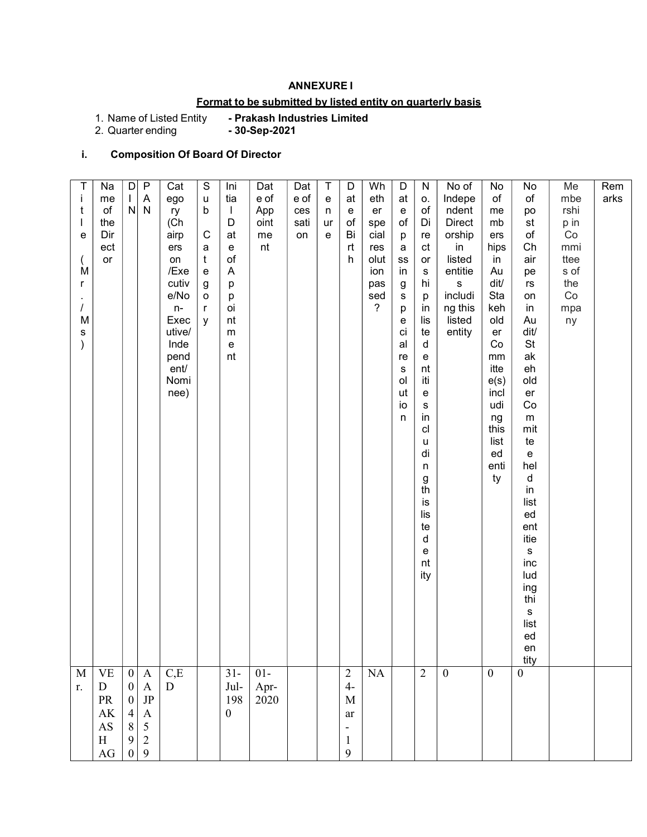## ANNEXURE I

# Format to be submitted by listed entity on quarterly basis

- Prakash Industries Limited<br>- 30-Sep-2021

1. Name of Listed Entity<br>2. Quarter ending

# i. Composition Of Board Of Director

| r.                                                                                                          | Τ<br>Ť<br>t<br>е<br>M<br>r<br>$\prime$<br>M<br>s<br>M                                                                                                                                                                                                                                                                                                           |
|-------------------------------------------------------------------------------------------------------------|-----------------------------------------------------------------------------------------------------------------------------------------------------------------------------------------------------------------------------------------------------------------------------------------------------------------------------------------------------------------|
| ${\bf D}$<br>PR<br>AK<br>$\mathbf{A}\mathbf{S}$<br>$\, {\rm H}$<br>AG                                       | Na<br>me<br>of<br>the<br>Dir<br>ect<br>or<br>$\ensuremath{\mathsf{VE}}$                                                                                                                                                                                                                                                                                         |
| $\boldsymbol{0}$<br>$\boldsymbol{0}$<br>$\overline{4}$<br>$\,$ $\,$<br>$\boldsymbol{9}$<br>$\boldsymbol{0}$ | $\vert D \vert$<br>$\mathbf{L}$<br>$\mathsf{N}$<br>$\boldsymbol{0}$                                                                                                                                                                                                                                                                                             |
| $\begin{array}{c} \mathbf{A} \\ \mathbf{JP} \end{array}$<br>$\boldsymbol{\rm{A}}$<br>$\frac{5}{2}$<br>9     | $\overline{P}$<br>$\boldsymbol{\mathsf{A}}$<br>${\sf N}$<br>$\mathbf{A}$                                                                                                                                                                                                                                                                                        |
| D                                                                                                           | Cat<br>ego<br>ry<br>(Ch<br>airp<br>ers<br>on<br>/Exe<br>cutiv<br>e/No<br>$n-$<br>Exec<br>utive/<br>Inde<br>pend<br>ent/<br>Nomi<br>nee)<br>$_{\rm C,E}$                                                                                                                                                                                                         |
|                                                                                                             | ${\mathbb S}$<br>$\sf u$<br>b<br>$\mathbf C$<br>a<br>$\mathfrak{t}$<br>$\mathsf{e}% _{t}\left( t\right)$<br>$\boldsymbol{g}$<br>o<br>$\mathsf{r}$<br>y                                                                                                                                                                                                          |
| Jul-<br>198<br>$\boldsymbol{0}$                                                                             | Ini<br>tia<br>$\mathbf{I}$<br>D<br>at<br>e<br>$\mathsf{of}$<br>A<br>р<br>р<br>oi<br>nt<br>m<br>e<br>nt<br>$31 -$                                                                                                                                                                                                                                                |
| Apr-<br>2020                                                                                                | Dat<br>e of<br>App<br>oint<br>me<br>nt<br>$01-$                                                                                                                                                                                                                                                                                                                 |
|                                                                                                             | Dat<br>e of<br>ces<br>sati<br>on                                                                                                                                                                                                                                                                                                                                |
|                                                                                                             | T<br>${\bf e}$<br>n<br>ur<br>e                                                                                                                                                                                                                                                                                                                                  |
| $4-$<br>$\mathbf M$<br>ar<br>$\blacksquare$<br>$\mathbf{1}$<br>9                                            | D<br>at<br>e<br>of<br>Bi<br>rt<br>h<br>$\overline{c}$                                                                                                                                                                                                                                                                                                           |
|                                                                                                             | Wh<br>eth<br>er<br>spe<br>cial<br>res<br>olut<br>ion<br>pas<br>sed<br>?<br>$\rm NA$                                                                                                                                                                                                                                                                             |
|                                                                                                             | $\mathsf D$<br>at<br>e<br>of<br>p<br>a<br>${\rm ss}$<br>in<br>g<br>s<br>р<br>е<br>ci<br>al<br>re<br>s<br>ol<br>ut<br>io<br>n                                                                                                                                                                                                                                    |
|                                                                                                             | ${\sf N}$<br>0.<br>of<br>Di<br>re<br>ct<br>or<br>${\bf s}$<br>hi<br>p<br>in<br>lis<br>te<br>d<br>e<br>nt<br>iti<br>e<br>$\mathbb S$<br>in<br>cl<br>u<br>di<br>n<br>g<br>th<br>İS<br>lis<br>te<br>d<br>e<br>nt<br>ity<br>$\overline{2}$                                                                                                                          |
|                                                                                                             | No of<br>Indepe<br>ndent<br><b>Direct</b><br>orship<br>in<br>listed<br>entitie<br>${\bf S}$<br>includi<br>ng this<br>listed<br>entity<br>$\boldsymbol{0}$                                                                                                                                                                                                       |
|                                                                                                             | No<br>of<br>me<br>mb<br>ers<br>hips<br>in<br>Au<br>dit/<br>Sta<br>keh<br>old<br>er<br>Co<br>mm<br>itte<br>e(s)<br>incl<br>udi<br>ng<br>this<br>list<br>ed<br>enti<br>ty<br>$\mathbf{0}$                                                                                                                                                                         |
|                                                                                                             | No<br>of<br>po<br>st<br>$\mathsf{of}$<br>Ch<br>air<br>pe<br>$\mathsf{r}\mathsf{s}$<br>on<br>in<br>Au<br>dit/<br>St<br>ak<br>eh<br>old<br>er<br>$\mathop{\rm Co}\nolimits$<br>${\sf m}$<br>mit<br>te<br>e<br>hel<br>d<br>in<br>list<br>ed<br>ent<br>itie<br>${\sf s}$<br>inc<br>lud<br>ing<br>thi<br>$\mathbf S$<br>list<br>ed<br>en<br>tity<br>$\boldsymbol{0}$ |
|                                                                                                             | Me<br>mbe<br>rshi<br>p in<br>$\rm Co$<br>mmi<br>ttee<br>s of<br>the<br>Co<br>mpa<br>ny                                                                                                                                                                                                                                                                          |
|                                                                                                             | Rem<br>arks                                                                                                                                                                                                                                                                                                                                                     |
|                                                                                                             |                                                                                                                                                                                                                                                                                                                                                                 |
|                                                                                                             |                                                                                                                                                                                                                                                                                                                                                                 |
|                                                                                                             |                                                                                                                                                                                                                                                                                                                                                                 |
|                                                                                                             |                                                                                                                                                                                                                                                                                                                                                                 |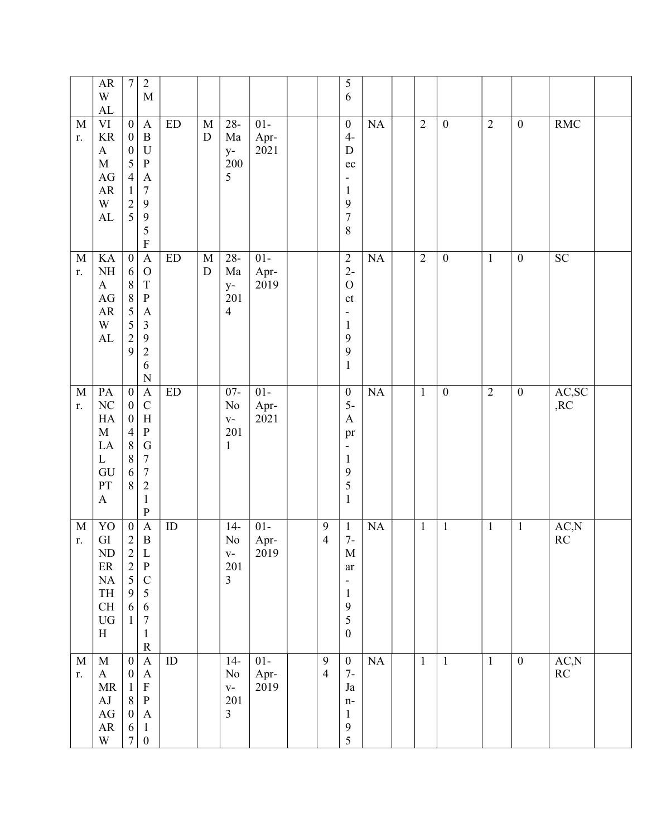|                   | ${\sf AR}$<br>W<br>${\rm AL}$                                                                                   | $\boldsymbol{7}$                                                                                                                  | $\sqrt{2}$<br>$\mathbf M$                                                                                                                                              |                            |                          |                                                       |                        |                                    | 5<br>6                                                                                                                            |           |                |                  |                |                  |                                 |  |
|-------------------|-----------------------------------------------------------------------------------------------------------------|-----------------------------------------------------------------------------------------------------------------------------------|------------------------------------------------------------------------------------------------------------------------------------------------------------------------|----------------------------|--------------------------|-------------------------------------------------------|------------------------|------------------------------------|-----------------------------------------------------------------------------------------------------------------------------------|-----------|----------------|------------------|----------------|------------------|---------------------------------|--|
| M<br>r.           | $\rm{VI}$<br>$\rm KR$<br>$\mathbf{A}$<br>$\mathbf M$<br>$\rm{AG}$<br>${\sf AR}$<br>W<br>AL                      | $\boldsymbol{0}$<br>$\boldsymbol{0}$<br>$\boldsymbol{0}$<br>5<br>$\overline{4}$<br>$\,1$<br>$\begin{array}{c} 2 \\ 5 \end{array}$ | $\mathbf{A}$<br>$\, {\bf B}$<br>$\mathbf U$<br>$\, {\bf P}$<br>$\boldsymbol{\rm{A}}$<br>$\sqrt{ }$<br>$\mathbf{9}$<br>$\overline{9}$<br>5<br>$\mathbf F$               | $\mathop{\rm ED}\nolimits$ | $\mathbf M$<br>${\rm D}$ | $28 -$<br>Ma<br>$y-$<br>200<br>5                      | $01-$<br>Apr-<br>2021  |                                    | $\boldsymbol{0}$<br>$4-$<br>${\bf D}$<br>$\rm ec$<br>-<br>$\mathbf{1}$<br>9<br>$\sqrt{ }$<br>$\,$ $\,$                            | NA        | $\overline{2}$ | $\boldsymbol{0}$ | $\overline{2}$ | $\boldsymbol{0}$ | <b>RMC</b>                      |  |
| $\mathbf M$<br>r. | KA<br>$\rm NH$<br>$\mathbf{A}$<br>$\mathbf{A}\mathbf{G}$<br>${\sf AR}$<br>W<br>${\rm AL}$                       | $\overline{0}$<br>6<br>$\,8\,$<br>8<br>5<br>$\frac{5}{2}$<br>9                                                                    | $\overline{A}$<br>$\mathcal{O}$<br>$\mathbf T$<br>$\, {\bf P}$<br>$\boldsymbol{\rm{A}}$<br>$\mathfrak{Z}$<br>$\overline{9}$<br>$\sqrt{2}$<br>6<br>$\overline{N}$       | ED                         | $\mathbf M$<br>${\rm D}$ | $28 -$<br>Ma<br>$y-$<br>201<br>$\overline{4}$         | $01-$<br>Apr-<br>2019  |                                    | $\sqrt{2}$<br>$2-$<br>$\mathcal O$<br>$\mathsf{ct}$<br>$\qquad \qquad \blacksquare$<br>$\mathbf{1}$<br>9<br>9<br>$\mathbf{1}$     | NA        | $\overline{2}$ | $\boldsymbol{0}$ | $\overline{1}$ | $\boldsymbol{0}$ | SC                              |  |
| $\mathbf M$<br>r. | PA<br>$\rm NC$<br>HA<br>$\mathbf M$<br>LA<br>$\mathbf{L}$<br>GU<br>PT<br>$\boldsymbol{\mathsf{A}}$              | $\boldsymbol{0}$<br>$\boldsymbol{0}$<br>$\boldsymbol{0}$<br>$\overline{4}$<br>$\,8\,$<br>$\,$ $\,$<br>6<br>8                      | $\mathbf{A}$<br>$\mathsf{C}$<br>$\boldsymbol{\mathrm{H}}$<br>${\bf P}$<br>${\bf G}$<br>$\boldsymbol{7}$<br>$\boldsymbol{7}$<br>$\sqrt{2}$<br>$\mathbf{1}$<br>${\bf P}$ | $\mathop{\rm ED}\nolimits$ |                          | $07 -$<br>No<br>$\mathbf{V}$ –<br>201<br>$\mathbf{1}$ | $01 -$<br>Apr-<br>2021 |                                    | $\boldsymbol{0}$<br>$5-$<br>$\boldsymbol{\mathsf{A}}$<br>pr<br>$\overline{\phantom{a}}$<br>$\mathbf{1}$<br>9<br>5<br>$\mathbf{1}$ | <b>NA</b> | $\mathbf{1}$   | $\boldsymbol{0}$ | $\overline{2}$ | $\boldsymbol{0}$ | AC,SC<br>,RC                    |  |
| $\mathbf M$<br>r. | YO<br>${\rm GI}$<br>ND<br>$\rm ER$<br>$\rm NA$<br>TH<br>$\operatorname{CH}$<br>${\rm U}{\rm G}$<br>$\, {\rm H}$ | $\boldsymbol{0}$<br>$\sqrt{2}$<br>$\begin{array}{c} 2 \\ 2 \\ 5 \end{array}$<br>$\mathbf{9}$<br>6<br>$\mathbf{1}$                 | $\boldsymbol{\mathsf{A}}$<br>$\, {\bf B}$<br>L<br>$\, {\bf P}$<br>$\mathsf C$<br>$\sqrt{5}$<br>$\sqrt{6}$<br>$\boldsymbol{7}$<br>$\mathbf{1}$<br>${\bf R}$             | ID                         |                          | $14-$<br>$\rm No$<br>$V -$<br>201<br>$\overline{3}$   | $01 -$<br>Apr-<br>2019 | $\boldsymbol{9}$<br>$\overline{4}$ | $\mathbf{1}$<br>$7-$<br>M<br>ar<br>$\overline{\phantom{a}}$<br>$\mathbf{1}$<br>$\boldsymbol{9}$<br>5<br>$\boldsymbol{0}$          | NA        | $\mathbf{1}$   | $\mathbf{1}$     | $\mathbf{1}$   | $\mathbf{1}$     | AC, N<br>RC                     |  |
| $\mathbf M$<br>r. | $\mathbf M$<br>$\bf{A}$<br>MR<br>AJ<br>$\rm{AG}$<br>${\sf AR}$<br>W                                             | $\boldsymbol{0}$<br>$\boldsymbol{0}$<br>$\mathbf{1}$<br>$\,8\,$<br>$\boldsymbol{0}$<br>6<br>$\boldsymbol{7}$                      | $\boldsymbol{\mathsf{A}}$<br>$\mathbf{A}$<br>$\mathbf F$<br>${\bf P}$<br>$\mathbf{A}$<br>$\mathbf{1}$<br>$\boldsymbol{0}$                                              | $\rm ID$                   |                          | $14-$<br>No<br>$V -$<br>201<br>$\overline{3}$         | $01 -$<br>Apr-<br>2019 | $\boldsymbol{9}$<br>$\overline{4}$ | $\boldsymbol{0}$<br>$7-$<br>Ja<br>$n-$<br>$\mathbf{1}$<br>$\boldsymbol{9}$<br>5                                                   | NA        | $\mathbf{1}$   | $\mathbf{1}$     | $\mathbf{1}$   | $\overline{0}$   | AC,N<br>$\mathbb{R}\mathcal{C}$ |  |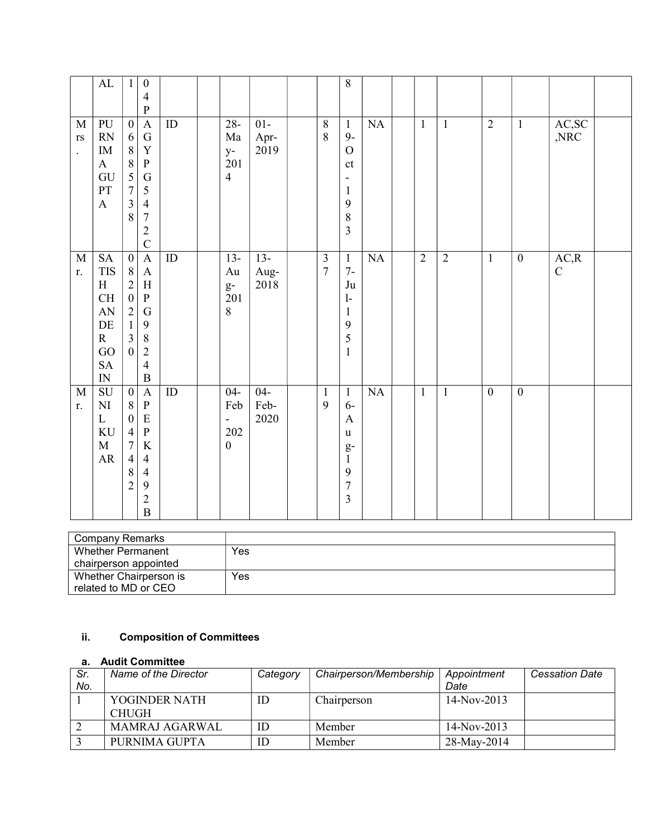|                                                               | $\mathbf{AL}$                                                                                                           | $\mathbf{1}$                                                                                                                                 | $\boldsymbol{0}$<br>$\overline{4}$<br>$\mathbf{P}$                                                                                                           |                 |                                                                          |                        |                                           | 8                                                                                                                             |    |                |                |                  |                  |                      |  |
|---------------------------------------------------------------|-------------------------------------------------------------------------------------------------------------------------|----------------------------------------------------------------------------------------------------------------------------------------------|--------------------------------------------------------------------------------------------------------------------------------------------------------------|-----------------|--------------------------------------------------------------------------|------------------------|-------------------------------------------|-------------------------------------------------------------------------------------------------------------------------------|----|----------------|----------------|------------------|------------------|----------------------|--|
| $\mathbf M$<br>$\mathbf{r}\mathbf{s}$<br>$\ddot{\phantom{0}}$ | PU<br>$\mathbb{R}\mathcal{N}$<br>$\rm IM$<br>$\mathbf{A}$<br>GU<br>PT<br>$\boldsymbol{\mathrm{A}}$                      | $\boldsymbol{0}$<br>6<br>$\, 8$<br>$\overline{8}$<br>$\overline{5}$<br>$\overline{7}$<br>$\overline{\mathbf{3}}$<br>8                        | $\mathbf{A}$<br>${\bf G}$<br>$\mathbf Y$<br>${\bf P}$<br>${\bf G}$<br>$\mathfrak{S}$<br>$\overline{4}$<br>$\overline{7}$<br>$\overline{2}$<br>$\overline{C}$ | $\rm ID$        | $28 -$<br>Ma<br>$y-$<br>201<br>$\overline{4}$                            | $01-$<br>Apr-<br>2019  | $8\,$<br>8                                | $\mathbf{1}$<br>$9-$<br>$\overline{O}$<br>ct<br>$\overline{\phantom{0}}$<br>$\mathbf{1}$<br>9<br>8<br>$\overline{\mathbf{3}}$ | NA | $\mathbf{1}$   | $\mathbf{1}$   | $\overline{2}$   | $\mathbf{1}$     | AC,SC<br>,NRC        |  |
| $\mathbf M$<br>r.                                             | $\operatorname{SA}$<br><b>TIS</b><br>H<br>CH<br>${\rm AN}$<br>$\rm DE$<br>$\mathbf R$<br>GO<br>${\rm SA}$<br>${\rm IN}$ | $\boldsymbol{0}$<br>$8\phantom{.}$<br>$\overline{2}$<br>$\boldsymbol{0}$<br>$\overline{2}$<br>$\mathbf{1}$<br>$\overline{3}$<br>$\mathbf{0}$ | $\mathbf A$<br>$\mathbf{A}$<br>$\, {\rm H}$<br>$\, {\bf P}$<br>${\bf G}$<br>9<br>$\,8\,$<br>$\overline{2}$<br>$\overline{4}$<br>$\, {\bf B}$                 | $\overline{ID}$ | $13-$<br>Au<br>$g-$<br>201<br>$8\,$                                      | $13-$<br>Aug-<br>2018  | $\overline{\mathbf{3}}$<br>$\overline{7}$ | $\mathbf{1}$<br>$7-$<br>Ju<br>$\mathbf{1}$<br>$\mathbf{1}$<br>9<br>5<br>$\mathbf{1}$                                          | NA | $\overline{2}$ | $\overline{2}$ | $\mathbf{1}$     | $\boldsymbol{0}$ | AC, R<br>$\mathbf C$ |  |
| M<br>r.                                                       | SU<br>$\mathbf{N}\mathbf{I}$<br>$\mathbf L$<br>$\rm KU$<br>$\mathbf M$<br>${\sf AR}$                                    | $\boldsymbol{0}$<br>$\, 8$<br>$\boldsymbol{0}$<br>$\overline{4}$<br>$\overline{7}$<br>$\overline{4}$<br>$\,$ 8 $\,$<br>$\overline{2}$        | $\mathbf{A}$<br>$\, {\bf P}$<br>${\bf E}$<br>$\overline{\mathbf{P}}$<br>$\rm K$<br>$\overline{4}$<br>$\overline{4}$<br>9<br>$\overline{2}$<br>$\overline{B}$ | ID              | $04 -$<br>Feb<br>$\overline{\phantom{a}}$<br>$202\,$<br>$\boldsymbol{0}$ | $04 -$<br>Feb-<br>2020 | $\mathbf{1}$<br>9                         | $\mathbf{1}$<br>$6-$<br>$\mathbf{A}$<br>u<br>$g-$<br>$\mathbf{1}$<br>9<br>$\overline{7}$<br>$\overline{\mathbf{3}}$           | NA | $\mathbf{1}$   | $\mathbf{1}$   | $\boldsymbol{0}$ | $\boldsymbol{0}$ |                      |  |

| Company Remarks        |     |
|------------------------|-----|
| Whether Permanent      | Yes |
| chairperson appointed  |     |
| Whether Chairperson is | Yes |
| related to MD or CEO   |     |

# ii. Composition of Committees

# a. Audit Committee

| Sr.<br>No. | Name of the Director          | Category | Chairperson/Membership | Appointment<br>Date | <b>Cessation Date</b> |
|------------|-------------------------------|----------|------------------------|---------------------|-----------------------|
|            | YOGINDER NATH<br><b>CHUGH</b> | ID       | Chairperson            | $14-Nov-2013$       |                       |
|            | MAMRAJ AGARWAL                | ID       | Member                 | $14-Nov-2013$       |                       |
|            | PURNIMA GUPTA                 | ID       | Member                 | 28-May-2014         |                       |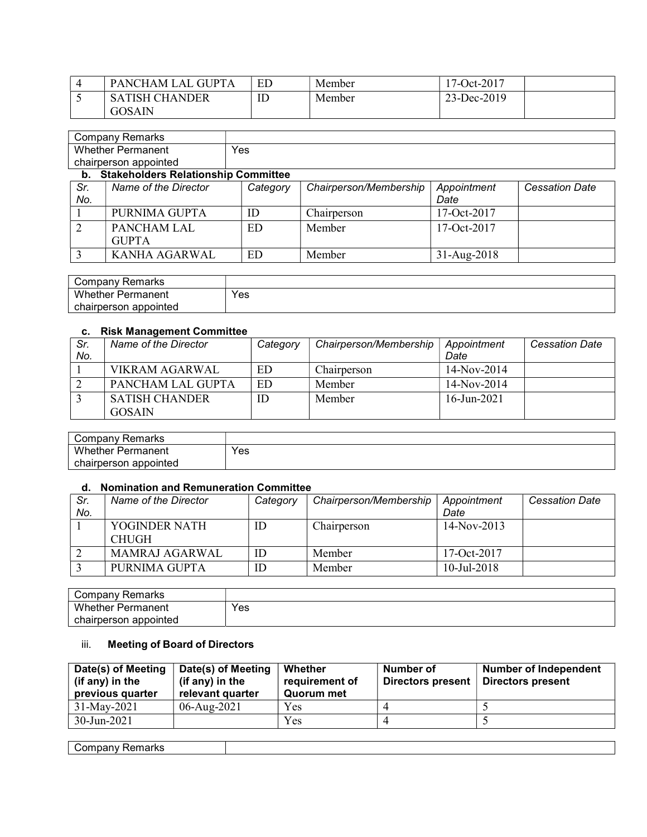| PANCHAM LAL GUPT      | ED | Member | 17-Oct-2017 |
|-----------------------|----|--------|-------------|
| <b>SATISH CHANDER</b> | IE | Member | 23-Dec-2019 |
| <b>GOSAIN</b>         |    |        |             |

|     | <b>Company Remarks</b>                     |          |                        |               |                       |
|-----|--------------------------------------------|----------|------------------------|---------------|-----------------------|
|     | <b>Whether Permanent</b>                   | Yes      |                        |               |                       |
|     | chairperson appointed                      |          |                        |               |                       |
| b.  | <b>Stakeholders Relationship Committee</b> |          |                        |               |                       |
| Sr. | Name of the Director                       | Category | Chairperson/Membership | Appointment   | <b>Cessation Date</b> |
| No. |                                            |          |                        | Date          |                       |
|     | PURNIMA GUPTA                              | ID       | Chairperson            | $17-Oct-2017$ |                       |
|     | PANCHAM LAL                                | ED       | Member                 | 17-Oct-2017   |                       |
|     | <b>GUPTA</b>                               |          |                        |               |                       |
|     | <b>KANHA AGARWAL</b>                       | ED       | Member                 | 31-Aug-2018   |                       |

| Company Remarks          |     |
|--------------------------|-----|
| <b>Whether Permanent</b> | Yes |
| chairperson appointed    |     |

## c. Risk Management Committee

| Sr. | Name of the Director                   | Category | Chairperson/Membership | Appointment    | <b>Cessation Date</b> |
|-----|----------------------------------------|----------|------------------------|----------------|-----------------------|
| No. |                                        |          |                        | Date           |                       |
|     | <b>VIKRAM AGARWAL</b>                  | ED       | Chairperson            | $14-Nov-2014$  |                       |
|     | PANCHAM LAL GUPTA                      | ED       | Member                 | $14-Nov-2014$  |                       |
|     | <b>SATISH CHANDER</b><br><b>GOSAIN</b> | ID       | Member                 | $16$ -Jun-2021 |                       |

| ' ompanyٽ<br>Remarks     |     |
|--------------------------|-----|
| Whether<br>Permanent     | Yes |
| appointed<br>chairperson |     |

## d. Nomination and Remuneration Committee

| Sr. | Name of the Director | Category | Chairperson/Membership | Appointment    | <b>Cessation Date</b> |
|-----|----------------------|----------|------------------------|----------------|-----------------------|
| No. |                      |          |                        | Date           |                       |
|     | YOGINDER NATH        | ID       | Chairperson            | $14-Nov-2013$  |                       |
|     | <b>CHUGH</b>         |          |                        |                |                       |
|     | MAMRAJ AGARWAL       | ΙD       | Member                 | 17-Oct- $2017$ |                       |
|     | PURNIMA GUPTA        | ΙD       | Member                 | $10$ -Jul-2018 |                       |

| Remarks<br>' ompanyب   |     |
|------------------------|-----|
| Whether,<br>Permanent  | Yes |
| appointed<br>airperson |     |

## iii. Meeting of Board of Directors

| Date(s) of Meeting<br>(if any) in the<br>previous quarter | Date(s) of Meeting<br>(if any) in the<br>relevant quarter | Whether<br>requirement of<br>Quorum met | Number of<br>Directors present | Number of Independent<br>Directors present |
|-----------------------------------------------------------|-----------------------------------------------------------|-----------------------------------------|--------------------------------|--------------------------------------------|
| $31$ -May-2021                                            | 06-Aug-2021                                               | Yes                                     |                                |                                            |
| $30 - Jun - 2021$                                         |                                                           | Yes                                     |                                |                                            |

| $-1$<br>.<br>- 12<br><br>יוםו ו/<br>$\cdots$ |  |
|----------------------------------------------|--|
|                                              |  |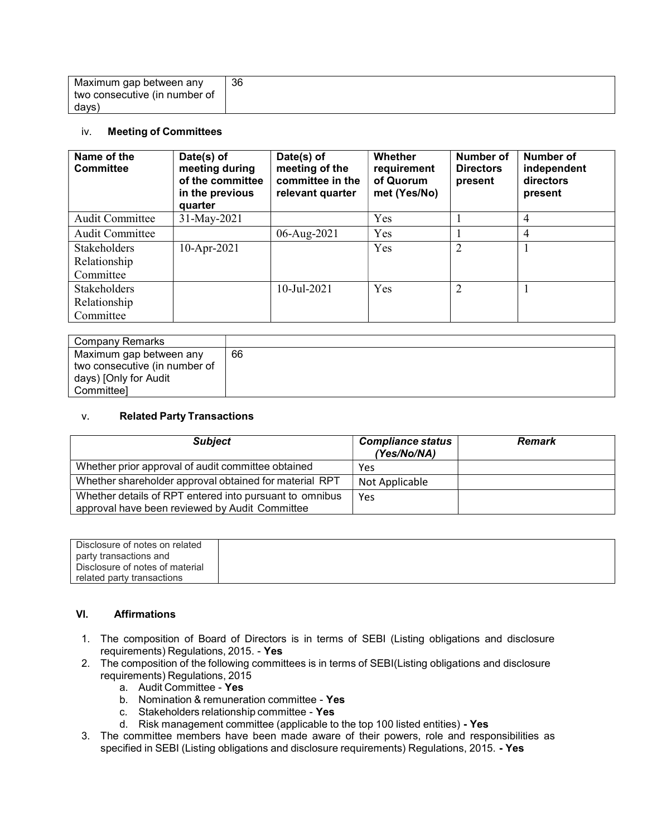| Maximum gap between any       | 36 |
|-------------------------------|----|
| two consecutive (in number of |    |
| days)                         |    |

#### iv. Meeting of Committees

| Name of the<br><b>Committee</b> | Date(s) of<br>meeting during<br>of the committee<br>in the previous<br>quarter | Date(s) of<br>meeting of the<br>committee in the<br>relevant quarter | <b>Whether</b><br>requirement<br>of Quorum<br>met (Yes/No) | Number of<br><b>Directors</b><br>present | Number of<br>independent<br>directors<br>present |
|---------------------------------|--------------------------------------------------------------------------------|----------------------------------------------------------------------|------------------------------------------------------------|------------------------------------------|--------------------------------------------------|
| <b>Audit Committee</b>          | 31-May-2021                                                                    |                                                                      | Yes                                                        |                                          | $\overline{4}$                                   |
| <b>Audit Committee</b>          |                                                                                | 06-Aug-2021                                                          | Yes                                                        |                                          | 4                                                |
| <b>Stakeholders</b>             | 10-Apr-2021                                                                    |                                                                      | Yes                                                        | 2                                        |                                                  |
| Relationship                    |                                                                                |                                                                      |                                                            |                                          |                                                  |
| Committee                       |                                                                                |                                                                      |                                                            |                                          |                                                  |
| <b>Stakeholders</b>             |                                                                                | $10$ -Jul-2021                                                       | Yes                                                        | $\overline{2}$                           |                                                  |
| Relationship                    |                                                                                |                                                                      |                                                            |                                          |                                                  |
| Committee                       |                                                                                |                                                                      |                                                            |                                          |                                                  |

| Company Remarks               |    |
|-------------------------------|----|
| Maximum gap between any       | 66 |
| two consecutive (in number of |    |
| days) [Only for Audit         |    |
| Committeel                    |    |

### v. Related Party Transactions

| <b>Subject</b>                                                                                            | <b>Compliance status</b><br>(Yes/No/NA) | <b>Remark</b> |
|-----------------------------------------------------------------------------------------------------------|-----------------------------------------|---------------|
| Whether prior approval of audit committee obtained                                                        | Yes                                     |               |
| Whether shareholder approval obtained for material RPT                                                    | Not Applicable                          |               |
| Whether details of RPT entered into pursuant to omnibus<br>approval have been reviewed by Audit Committee | Yes                                     |               |

| Disclosure of notes on related  |  |
|---------------------------------|--|
| party transactions and          |  |
| Disclosure of notes of material |  |
| related party transactions      |  |

### VI. Affirmations

- 1. The composition of Board of Directors is in terms of SEBI (Listing obligations and disclosure requirements) Regulations, 2015. - Yes
- 2. The composition of the following committees is in terms of SEBI(Listing obligations and disclosure requirements) Regulations, 2015
	- a. Audit Committee Yes
	- b. Nomination & remuneration committee Yes
	- c. Stakeholders relationship committee Yes
	- d. Risk management committee (applicable to the top 100 listed entities) Yes
- 3. The committee members have been made aware of their powers, role and responsibilities as specified in SEBI (Listing obligations and disclosure requirements) Regulations, 2015. - Yes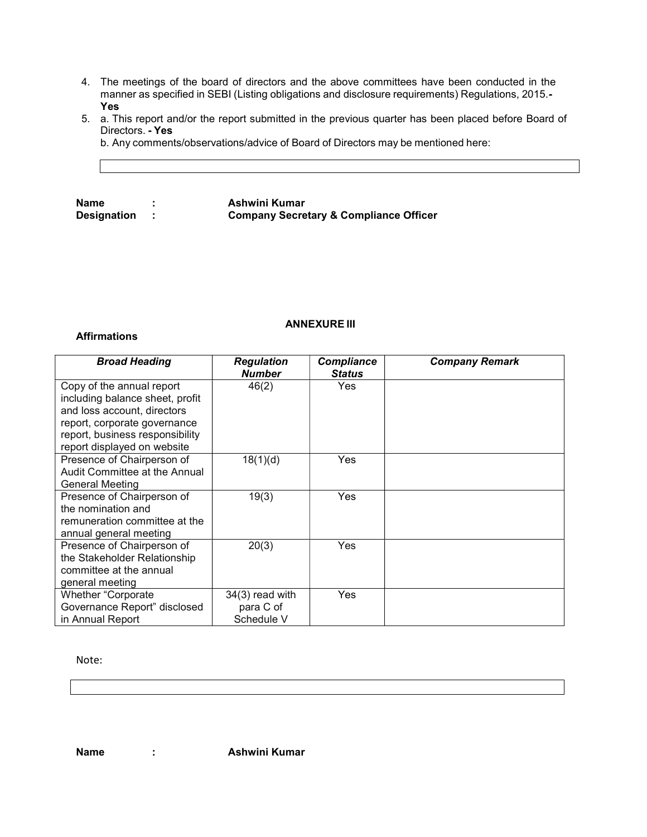- 4. The meetings of the board of directors and the above committees have been conducted in the manner as specified in SEBI (Listing obligations and disclosure requirements) Regulations, 2015.- Yes
- 5. a. This report and/or the report submitted in the previous quarter has been placed before Board of Directors. - Yes

b. Any comments/observations/advice of Board of Directors may be mentioned here:

Name : Ashwini Kumar<br>Designation : Company Secre Company Secretary & Compliance Officer

### ANNEXURE III

#### Affirmations

| <b>Broad Heading</b>                                                                                                                                                                          | <b>Regulation</b><br><b>Number</b>           | <b>Compliance</b><br><b>Status</b> | <b>Company Remark</b> |
|-----------------------------------------------------------------------------------------------------------------------------------------------------------------------------------------------|----------------------------------------------|------------------------------------|-----------------------|
| Copy of the annual report<br>including balance sheet, profit<br>and loss account, directors<br>report, corporate governance<br>report, business responsibility<br>report displayed on website | 46(2)                                        | <b>Yes</b>                         |                       |
| Presence of Chairperson of<br>Audit Committee at the Annual<br><b>General Meeting</b>                                                                                                         | 18(1)(d)                                     | <b>Yes</b>                         |                       |
| Presence of Chairperson of<br>the nomination and<br>remuneration committee at the<br>annual general meeting                                                                                   | 19(3)                                        | <b>Yes</b>                         |                       |
| Presence of Chairperson of<br>the Stakeholder Relationship<br>committee at the annual<br>general meeting                                                                                      | 20(3)                                        | Yes                                |                       |
| <b>Whether "Corporate</b><br>Governance Report" disclosed<br>in Annual Report                                                                                                                 | $34(3)$ read with<br>para C of<br>Schedule V | Yes                                |                       |

Note:

Name : Ashwini Kumar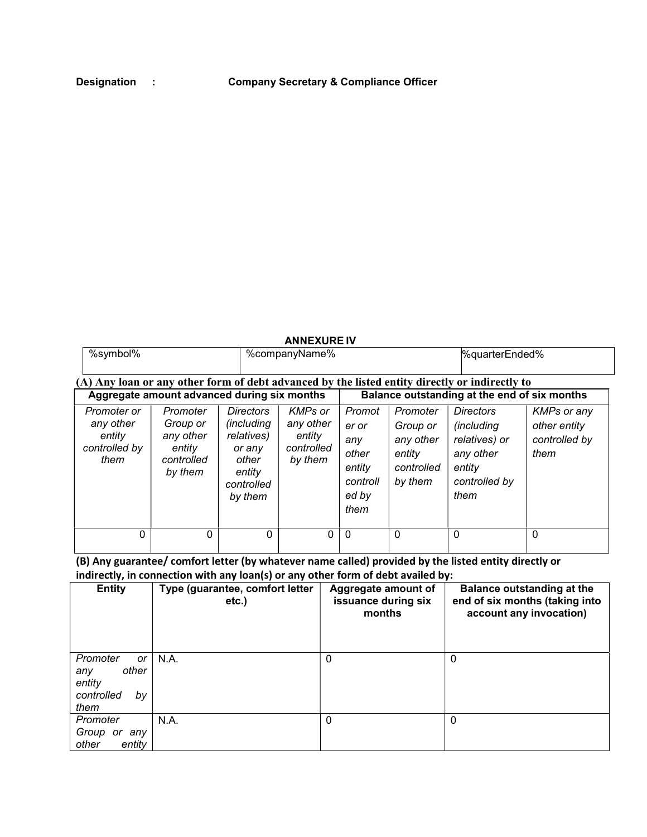### ANNEXURE IV

|                                             | %symbol%                                                                                       | %companyName% | %quarterEnded%                               |
|---------------------------------------------|------------------------------------------------------------------------------------------------|---------------|----------------------------------------------|
|                                             | (A) Any loan or any other form of debt advanced by the listed entity directly or indirectly to |               |                                              |
| Aggregate amount advanced during six months |                                                                                                |               | Balance outstanding at the end of six months |
|                                             | - -                                                                                            | .             | .<br>$\sim$ $\cdot$                          |

| Promoter or<br>any other<br>entity<br>controlled by<br>them | Promoter<br>Group or<br>any other<br>entity<br>controlled<br>by them | <b>Directors</b><br><i>(including</i><br>relatives)<br>or any<br>other<br>entity<br>controlled<br>by them | <b>KMPs or</b><br>any other<br>entity<br>controlled<br>by them | Promot<br>er or<br>any<br>other<br>entity<br>controll<br>ed by<br>them | Promoter<br>Group or<br>any other<br>entity<br>controlled<br>by them | <b>Directors</b><br><i>(including</i><br>relatives) or<br>any other<br>entity<br>controlled by<br>them | <b>KMPs or any</b><br>other entity<br>controlled by<br>them |
|-------------------------------------------------------------|----------------------------------------------------------------------|-----------------------------------------------------------------------------------------------------------|----------------------------------------------------------------|------------------------------------------------------------------------|----------------------------------------------------------------------|--------------------------------------------------------------------------------------------------------|-------------------------------------------------------------|
| 0                                                           |                                                                      | 0                                                                                                         | 0                                                              | $\mathbf 0$                                                            | 0                                                                    | 0                                                                                                      | 0                                                           |

(B) Any guarantee/ comfort letter (by whatever name called) provided by the listed entity directly or indirectly, in connection with any loan(s) or any other form of debt availed by:

| <b>Entity</b>                                                        | Type (guarantee, comfort letter<br>etc.) | Aggregate amount of<br>issuance during six<br>months | Balance outstanding at the<br>end of six months (taking into<br>account any invocation) |
|----------------------------------------------------------------------|------------------------------------------|------------------------------------------------------|-----------------------------------------------------------------------------------------|
| Promoter<br>or<br>other<br>any<br>entity<br>controlled<br>bv<br>them | N.A.                                     | $\Omega$                                             | 0                                                                                       |
| Promoter<br>Group<br>or<br>anv<br>other<br>entity                    | N.A.                                     | $\mathbf 0$                                          | 0                                                                                       |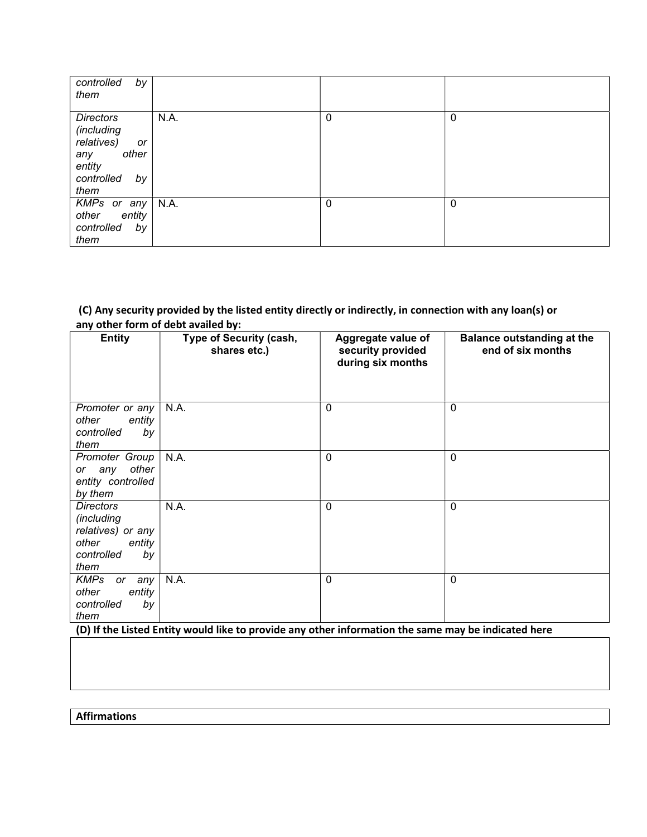| controlled<br>by<br>them                                                                                 |      |             |             |
|----------------------------------------------------------------------------------------------------------|------|-------------|-------------|
| <b>Directors</b><br>(including<br>relatives)<br>or<br>other<br>any<br>entity<br>controlled<br>by<br>them | N.A. | $\mathbf 0$ | $\mathbf 0$ |
| KMPs or any $\vert$ N.A.<br>entity<br>other<br>controlled<br>by<br>them                                  |      | $\mathbf 0$ | $\mathbf 0$ |

# (C) Any security provided by the listed entity directly or indirectly, in connection with any loan(s) or any other form of debt availed by:

| <b>Entity</b>                                                                                      | <b>Type of Security (cash,</b><br>shares etc.) | Aggregate value of<br>security provided<br>during six months | <b>Balance outstanding at the</b><br>end of six months |
|----------------------------------------------------------------------------------------------------|------------------------------------------------|--------------------------------------------------------------|--------------------------------------------------------|
| Promoter or any<br>other<br>entity<br>controlled<br>by<br>them                                     | N.A.                                           | 0                                                            | 0                                                      |
| Promoter Group<br>other<br>or any<br>entity controlled<br>by them                                  | N.A.                                           | $\mathbf 0$                                                  | $\mathbf{0}$                                           |
| <b>Directors</b><br>(including<br>relatives) or any<br>other<br>entity<br>controlled<br>by<br>them | N.A.                                           | $\mathbf{0}$                                                 | 0                                                      |
| <b>KMPs</b><br>any<br>or<br>other<br>entity<br>controlled<br>by<br>them                            | N.A.                                           | $\mathbf 0$                                                  | $\mathbf 0$                                            |

(D) If the Listed Entity would like to provide any other information the same may be indicated here

**Affirmations**